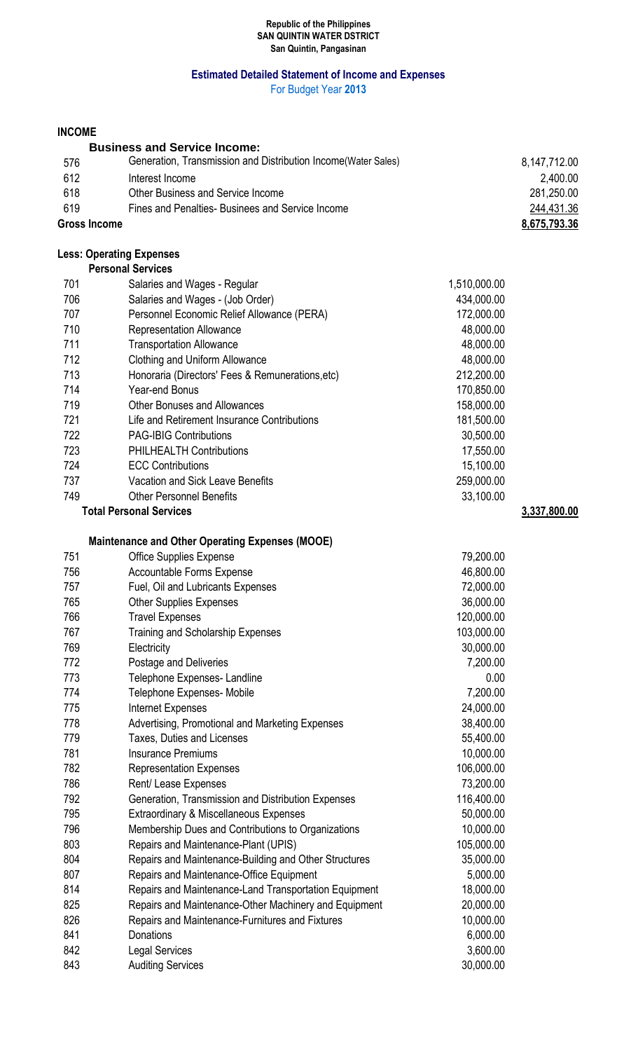#### **Republic of the Philippines SAN QUINTIN WATER DSTRICT San Quintin, Pangasinan**

## **Estimated Detailed Statement of Income and Expenses**

For Budget Year **2013**

### **INCOME**

|                     | <b>Business and Service Income:</b>                            |              |
|---------------------|----------------------------------------------------------------|--------------|
| 576                 | Generation, Transmission and Distribution Income (Water Sales) | 8,147,712.00 |
| 612                 | Interest Income                                                | 2,400.00     |
| 618                 | Other Business and Service Income                              | 281,250.00   |
| 619                 | Fines and Penalties-Businees and Service Income                | 244,431.36   |
| <b>Gross Income</b> |                                                                | 8,675,793.36 |

## **Less: Operating Expenses**

| 701 | Salaries and Wages - Regular                     | 1,510,000.00 |              |
|-----|--------------------------------------------------|--------------|--------------|
| 706 | Salaries and Wages - (Job Order)                 | 434,000.00   |              |
| 707 | Personnel Economic Relief Allowance (PERA)       | 172,000.00   |              |
| 710 | <b>Representation Allowance</b>                  | 48,000.00    |              |
| 711 | <b>Transportation Allowance</b>                  | 48,000.00    |              |
| 712 | Clothing and Uniform Allowance                   | 48,000.00    |              |
| 713 | Honoraria (Directors' Fees & Remunerations, etc) | 212,200.00   |              |
| 714 | Year-end Bonus                                   | 170,850.00   |              |
| 719 | <b>Other Bonuses and Allowances</b>              | 158,000.00   |              |
| 721 | Life and Retirement Insurance Contributions      | 181,500.00   |              |
| 722 | <b>PAG-IBIG Contributions</b>                    | 30,500.00    |              |
| 723 | <b>PHILHEALTH Contributions</b>                  | 17,550.00    |              |
| 724 | <b>ECC Contributions</b>                         | 15,100.00    |              |
| 737 | Vacation and Sick Leave Benefits                 | 259,000.00   |              |
| 749 | <b>Other Personnel Benefits</b>                  | 33,100.00    |              |
|     | <b>Total Personal Services</b>                   |              | 3,337,800.00 |

# **Maintenance and Other Operating Expenses (MOOE)**

| 751 | <b>Office Supplies Expense</b>                        | 79,200.00  |
|-----|-------------------------------------------------------|------------|
| 756 | <b>Accountable Forms Expense</b>                      | 46,800.00  |
| 757 | Fuel, Oil and Lubricants Expenses                     | 72,000.00  |
| 765 | <b>Other Supplies Expenses</b>                        | 36,000.00  |
| 766 | <b>Travel Expenses</b>                                | 120,000.00 |
| 767 | Training and Scholarship Expenses                     | 103,000.00 |
| 769 | Electricity                                           | 30,000.00  |
| 772 | Postage and Deliveries                                | 7,200.00   |
| 773 | Telephone Expenses- Landline                          | 0.00       |
| 774 | Telephone Expenses- Mobile                            | 7,200.00   |
| 775 | Internet Expenses                                     | 24,000.00  |
| 778 | Advertising, Promotional and Marketing Expenses       | 38,400.00  |
| 779 | <b>Taxes, Duties and Licenses</b>                     | 55,400.00  |
| 781 | <b>Insurance Premiums</b>                             | 10,000.00  |
| 782 | <b>Representation Expenses</b>                        | 106,000.00 |
| 786 | Rent/ Lease Expenses                                  | 73,200.00  |
| 792 | Generation, Transmission and Distribution Expenses    | 116,400.00 |
| 795 | Extraordinary & Miscellaneous Expenses                | 50,000.00  |
| 796 | Membership Dues and Contributions to Organizations    | 10,000.00  |
| 803 | Repairs and Maintenance-Plant (UPIS)                  | 105,000.00 |
| 804 | Repairs and Maintenance-Building and Other Structures | 35,000.00  |
| 807 | Repairs and Maintenance-Office Equipment              | 5,000.00   |
| 814 | Repairs and Maintenance-Land Transportation Equipment | 18,000.00  |
| 825 | Repairs and Maintenance-Other Machinery and Equipment | 20,000.00  |
| 826 | Repairs and Maintenance-Furnitures and Fixtures       | 10,000.00  |
| 841 | Donations                                             | 6,000.00   |
| 842 | <b>Legal Services</b>                                 | 3,600.00   |
| 843 | <b>Auditing Services</b>                              | 30,000.00  |